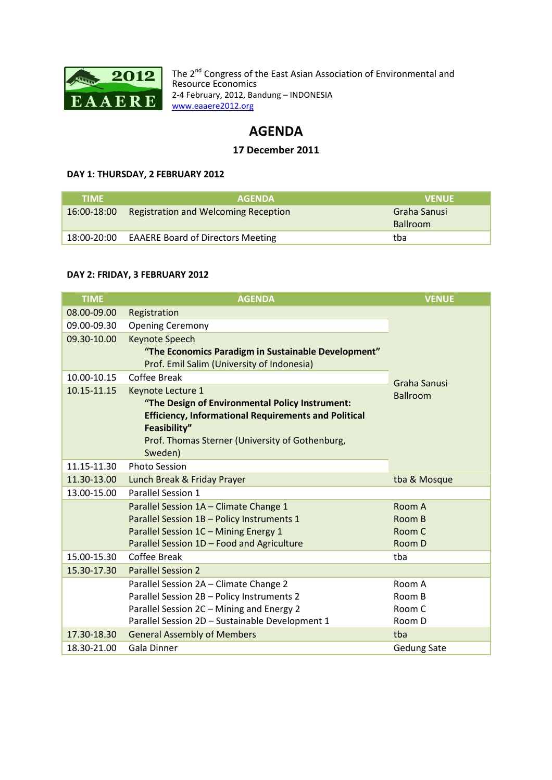

The  $2^{nd}$ Resource Economics 2-4 February, 2012, Bandung - INDONESIA www.eaaere2012.org www.eaaere2012.org Congress of the East Asian Association of Environmen Environmental and

# **AGENDA**

# **17 December 2011**

#### **DAY 1: THURSDAY, 2 FEBRUARY 2012**

| <b>TIME</b> | <b>AGENDA</b>                               | <b>VENUE</b>    |
|-------------|---------------------------------------------|-----------------|
| 16:00-18:00 | <b>Registration and Welcoming Reception</b> | Graha Sanusi    |
|             |                                             | <b>Ballroom</b> |
| 18:00-20:00 | <b>EAAERE Board of Directors Meeting</b>    | tba             |

#### **DAY 2: FRIDAY, 3 FEBRUARY 2012**

| <b>TIME</b> | <b>AGENDA</b>                                                                                                                                                                                | <b>VENUE</b>       |
|-------------|----------------------------------------------------------------------------------------------------------------------------------------------------------------------------------------------|--------------------|
| 08.00-09.00 | Registration                                                                                                                                                                                 |                    |
| 09.00-09.30 | <b>Opening Ceremony</b>                                                                                                                                                                      |                    |
| 09.30-10.00 | <b>Keynote Speech</b>                                                                                                                                                                        |                    |
|             | "The Economics Paradigm in Sustainable Development"<br>Prof. Emil Salim (University of Indonesia)                                                                                            |                    |
| 10.00-10.15 | Coffee Break                                                                                                                                                                                 |                    |
| 10.15-11.15 | Keynote Lecture 1                                                                                                                                                                            | Graha Sanusi       |
|             | "The Design of Environmental Policy Instrument:<br><b>Efficiency, Informational Requirements and Political</b><br>Feasibility"<br>Prof. Thomas Sterner (University of Gothenburg,<br>Sweden) | <b>Ballroom</b>    |
| 11.15-11.30 | <b>Photo Session</b>                                                                                                                                                                         |                    |
| 11.30-13.00 | Lunch Break & Friday Prayer                                                                                                                                                                  | tba & Mosque       |
| 13.00-15.00 | Parallel Session 1                                                                                                                                                                           |                    |
|             | Parallel Session 1A - Climate Change 1                                                                                                                                                       | Room A             |
|             | Parallel Session 1B - Policy Instruments 1                                                                                                                                                   | Room B             |
|             | Parallel Session 1C - Mining Energy 1                                                                                                                                                        | Room C             |
|             | Parallel Session 1D - Food and Agriculture                                                                                                                                                   | Room D             |
| 15.00-15.30 | Coffee Break                                                                                                                                                                                 | tba                |
| 15.30-17.30 | <b>Parallel Session 2</b>                                                                                                                                                                    |                    |
|             | Parallel Session 2A - Climate Change 2                                                                                                                                                       | Room A             |
|             | Parallel Session 2B - Policy Instruments 2                                                                                                                                                   | Room B             |
|             | Parallel Session 2C - Mining and Energy 2                                                                                                                                                    | Room C             |
|             | Parallel Session 2D - Sustainable Development 1                                                                                                                                              | Room D             |
| 17.30-18.30 | <b>General Assembly of Members</b>                                                                                                                                                           | tba                |
| 18.30-21.00 | <b>Gala Dinner</b>                                                                                                                                                                           | <b>Gedung Sate</b> |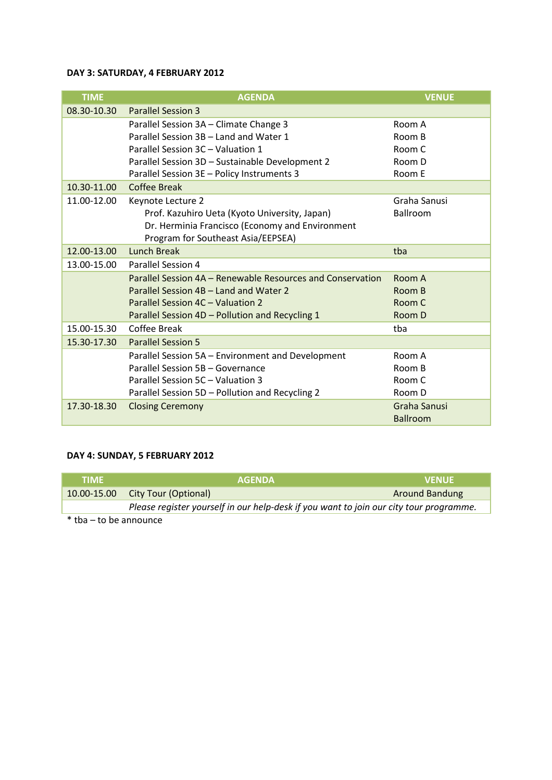# **DAY 3: SATURDAY, 4 FEBRUARY 2012**

| <b>TIME</b> | <b>AGENDA</b>                                              | <b>VENUE</b>    |
|-------------|------------------------------------------------------------|-----------------|
| 08.30-10.30 | <b>Parallel Session 3</b>                                  |                 |
|             | Parallel Session 3A - Climate Change 3                     | Room A          |
|             | Parallel Session 3B - Land and Water 1                     | Room B          |
|             | Parallel Session 3C - Valuation 1                          | Room C          |
|             | Parallel Session 3D - Sustainable Development 2            | Room D          |
|             | Parallel Session 3E - Policy Instruments 3                 | Room E          |
| 10.30-11.00 | <b>Coffee Break</b>                                        |                 |
| 11.00-12.00 | Keynote Lecture 2                                          | Graha Sanusi    |
|             | Prof. Kazuhiro Ueta (Kyoto University, Japan)              | Ballroom        |
|             | Dr. Herminia Francisco (Economy and Environment            |                 |
|             | Program for Southeast Asia/EEPSEA)                         |                 |
| 12.00-13.00 | <b>Lunch Break</b>                                         | tba             |
| 13.00-15.00 | Parallel Session 4                                         |                 |
|             | Parallel Session 4A - Renewable Resources and Conservation | Room A          |
|             | Parallel Session 4B - Land and Water 2                     | Room B          |
|             | Parallel Session 4C - Valuation 2                          | Room C          |
|             | Parallel Session 4D - Pollution and Recycling 1            | Room D          |
| 15.00-15.30 | Coffee Break                                               | tba             |
| 15.30-17.30 | <b>Parallel Session 5</b>                                  |                 |
|             | Parallel Session 5A - Environment and Development          | Room A          |
|             | Parallel Session 5B - Governance                           | Room B          |
|             | Parallel Session 5C - Valuation 3                          | Room C          |
|             | Parallel Session 5D - Pollution and Recycling 2            | Room D          |
| 17.30-18.30 | <b>Closing Ceremony</b>                                    | Graha Sanusi    |
|             |                                                            | <b>Ballroom</b> |

### **DAY 4: SUNDAY, 5 FEBRUARY 2012**

| <b>TIME</b> | <b>AGENDA</b>                                                                          | <b>VENUE</b>          |
|-------------|----------------------------------------------------------------------------------------|-----------------------|
|             | 10.00-15.00 City Tour (Optional)                                                       | <b>Around Bandung</b> |
|             | Please register yourself in our help-desk if you want to join our city tour programme. |                       |

\* tba – to be announce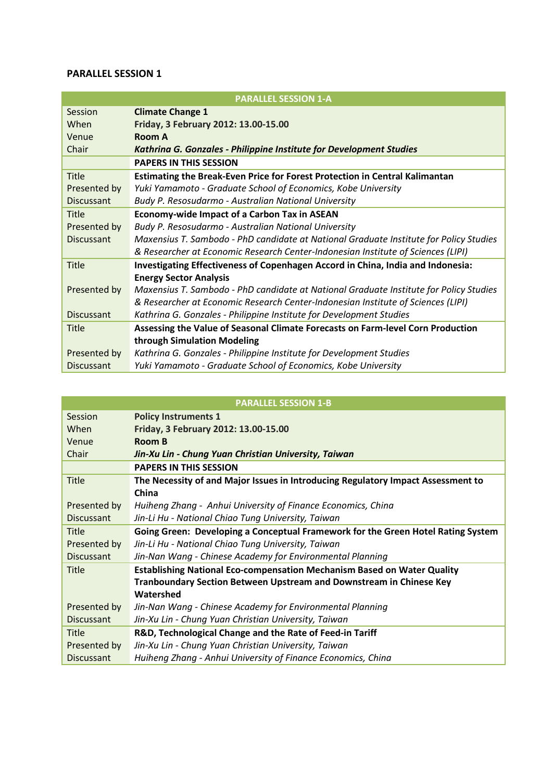|                   | <b>PARALLEL SESSION 1-A</b>                                                            |  |
|-------------------|----------------------------------------------------------------------------------------|--|
| Session           | <b>Climate Change 1</b>                                                                |  |
| When              | Friday, 3 February 2012: 13.00-15.00                                                   |  |
| Venue             | Room A                                                                                 |  |
| Chair             | Kathrina G. Gonzales - Philippine Institute for Development Studies                    |  |
|                   | <b>PAPERS IN THIS SESSION</b>                                                          |  |
| Title             | Estimating the Break-Even Price for Forest Protection in Central Kalimantan            |  |
| Presented by      | Yuki Yamamoto - Graduate School of Economics, Kobe University                          |  |
| <b>Discussant</b> | Budy P. Resosudarmo - Australian National University                                   |  |
| Title             | <b>Economy-wide Impact of a Carbon Tax in ASEAN</b>                                    |  |
| Presented by      | Budy P. Resosudarmo - Australian National University                                   |  |
| <b>Discussant</b> | Maxensius T. Sambodo - PhD candidate at National Graduate Institute for Policy Studies |  |
|                   | & Researcher at Economic Research Center-Indonesian Institute of Sciences (LIPI)       |  |
| <b>Title</b>      | Investigating Effectiveness of Copenhagen Accord in China, India and Indonesia:        |  |
|                   | <b>Energy Sector Analysis</b>                                                          |  |
| Presented by      | Maxensius T. Sambodo - PhD candidate at National Graduate Institute for Policy Studies |  |
|                   | & Researcher at Economic Research Center-Indonesian Institute of Sciences (LIPI)       |  |
| <b>Discussant</b> | Kathrina G. Gonzales - Philippine Institute for Development Studies                    |  |
| Title             | Assessing the Value of Seasonal Climate Forecasts on Farm-level Corn Production        |  |
|                   | through Simulation Modeling                                                            |  |
| Presented by      | Kathrina G. Gonzales - Philippine Institute for Development Studies                    |  |
| <b>Discussant</b> | Yuki Yamamoto - Graduate School of Economics, Kobe University                          |  |

|                   | <b>PARALLEL SESSION 1-B</b>                                                      |
|-------------------|----------------------------------------------------------------------------------|
| Session           | <b>Policy Instruments 1</b>                                                      |
| When              | Friday, 3 February 2012: 13.00-15.00                                             |
| Venue             | <b>Room B</b>                                                                    |
| Chair             | Jin-Xu Lin - Chung Yuan Christian University, Taiwan                             |
|                   | <b>PAPERS IN THIS SESSION</b>                                                    |
| <b>Title</b>      | The Necessity of and Major Issues in Introducing Regulatory Impact Assessment to |
|                   | China                                                                            |
| Presented by      | Huiheng Zhang - Anhui University of Finance Economics, China                     |
| <b>Discussant</b> | Jin-Li Hu - National Chiao Tung University, Taiwan                               |
| Title             | Going Green: Developing a Conceptual Framework for the Green Hotel Rating System |
| Presented by      | Jin-Li Hu - National Chiao Tung University, Taiwan                               |
| <b>Discussant</b> | Jin-Nan Wang - Chinese Academy for Environmental Planning                        |
| <b>Title</b>      | <b>Establishing National Eco-compensation Mechanism Based on Water Quality</b>   |
|                   | <b>Tranboundary Section Between Upstream and Downstream in Chinese Key</b>       |
|                   | Watershed                                                                        |
| Presented by      | Jin-Nan Wang - Chinese Academy for Environmental Planning                        |
| <b>Discussant</b> | Jin-Xu Lin - Chung Yuan Christian University, Taiwan                             |
| <b>Title</b>      | R&D, Technological Change and the Rate of Feed-in Tariff                         |
| Presented by      | Jin-Xu Lin - Chung Yuan Christian University, Taiwan                             |
| <b>Discussant</b> | Huiheng Zhang - Anhui University of Finance Economics, China                     |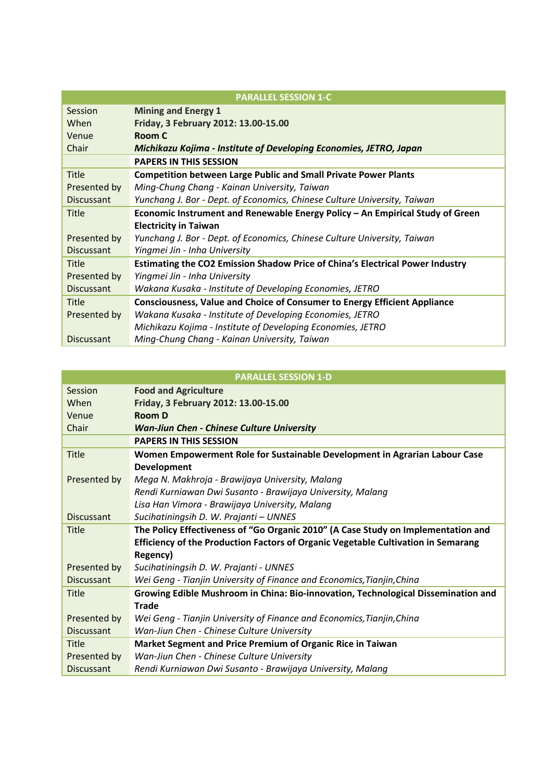| <b>PARALLEL SESSION 1-C</b> |                                                                                      |  |
|-----------------------------|--------------------------------------------------------------------------------------|--|
| Session                     | <b>Mining and Energy 1</b>                                                           |  |
| When                        | Friday, 3 February 2012: 13.00-15.00                                                 |  |
| Venue                       | Room C                                                                               |  |
| Chair                       | Michikazu Kojima - Institute of Developing Economies, JETRO, Japan                   |  |
|                             | <b>PAPERS IN THIS SESSION</b>                                                        |  |
| <b>Title</b>                | <b>Competition between Large Public and Small Private Power Plants</b>               |  |
| Presented by                | Ming-Chung Chang - Kainan University, Taiwan                                         |  |
| <b>Discussant</b>           | Yunchang J. Bor - Dept. of Economics, Chinese Culture University, Taiwan             |  |
| <b>Title</b>                | Economic Instrument and Renewable Energy Policy - An Empirical Study of Green        |  |
|                             | <b>Electricity in Taiwan</b>                                                         |  |
| Presented by                | Yunchang J. Bor - Dept. of Economics, Chinese Culture University, Taiwan             |  |
| <b>Discussant</b>           | Yingmei Jin - Inha University                                                        |  |
| <b>Title</b>                | <b>Estimating the CO2 Emission Shadow Price of China's Electrical Power Industry</b> |  |
| Presented by                | Yingmei Jin - Inha University                                                        |  |
| <b>Discussant</b>           | Wakana Kusaka - Institute of Developing Economies, JETRO                             |  |
| <b>Title</b>                | <b>Consciousness, Value and Choice of Consumer to Energy Efficient Appliance</b>     |  |
| Presented by                | Wakana Kusaka - Institute of Developing Economies, JETRO                             |  |
|                             | Michikazu Kojima - Institute of Developing Economies, JETRO                          |  |
| <b>Discussant</b>           | Ming-Chung Chang - Kainan University, Taiwan                                         |  |

| <b>PARALLEL SESSION 1-D</b> |                                                                                   |
|-----------------------------|-----------------------------------------------------------------------------------|
| Session                     | <b>Food and Agriculture</b>                                                       |
| When                        | Friday, 3 February 2012: 13.00-15.00                                              |
| Venue                       | <b>Room D</b>                                                                     |
| Chair                       | <b>Wan-Jiun Chen - Chinese Culture University</b>                                 |
|                             | <b>PAPERS IN THIS SESSION</b>                                                     |
| <b>Title</b>                | Women Empowerment Role for Sustainable Development in Agrarian Labour Case        |
|                             | Development                                                                       |
| Presented by                | Mega N. Makhroja - Brawijaya University, Malang                                   |
|                             | Rendi Kurniawan Dwi Susanto - Brawijaya University, Malang                        |
|                             | Lisa Han Vimora - Brawijaya University, Malang                                    |
| <b>Discussant</b>           | Sucihatiningsih D. W. Prajanti - UNNES                                            |
| Title                       | The Policy Effectiveness of "Go Organic 2010" (A Case Study on Implementation and |
|                             | Efficiency of the Production Factors of Organic Vegetable Cultivation in Semarang |
|                             | Regency)                                                                          |
| Presented by                | Sucihatiningsih D. W. Prajanti - UNNES                                            |
| <b>Discussant</b>           | Wei Geng - Tianjin University of Finance and Economics, Tianjin, China            |
| <b>Title</b>                | Growing Edible Mushroom in China: Bio-innovation, Technological Dissemination and |
|                             | <b>Trade</b>                                                                      |
| Presented by                | Wei Geng - Tianjin University of Finance and Economics, Tianjin, China            |
| <b>Discussant</b>           | Wan-Jiun Chen - Chinese Culture University                                        |
| <b>Title</b>                | Market Segment and Price Premium of Organic Rice in Taiwan                        |
| Presented by                | Wan-Jiun Chen - Chinese Culture University                                        |
| <b>Discussant</b>           | Rendi Kurniawan Dwi Susanto - Brawijaya University, Malang                        |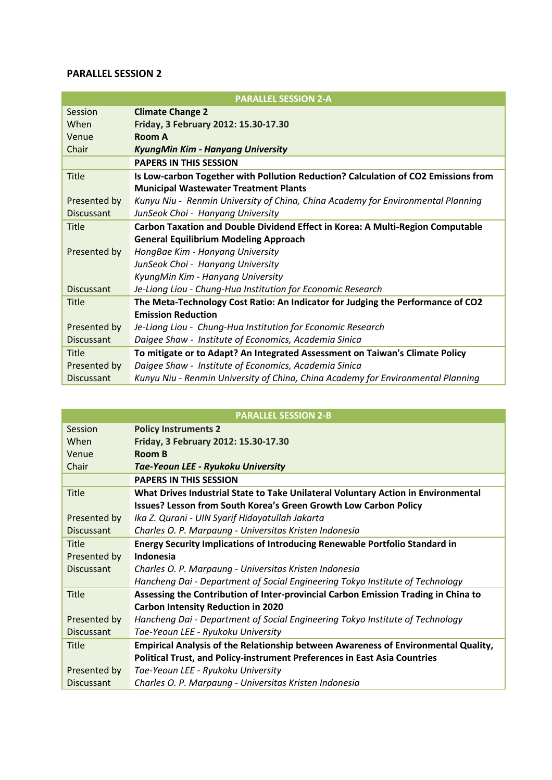|                   | <b>PARALLEL SESSION 2-A</b>                                                        |
|-------------------|------------------------------------------------------------------------------------|
| Session           | <b>Climate Change 2</b>                                                            |
| When              | Friday, 3 February 2012: 15.30-17.30                                               |
| Venue             | Room A                                                                             |
| Chair             | <b>KyungMin Kim - Hanyang University</b>                                           |
|                   | <b>PAPERS IN THIS SESSION</b>                                                      |
| Title             | Is Low-carbon Together with Pollution Reduction? Calculation of CO2 Emissions from |
|                   | <b>Municipal Wastewater Treatment Plants</b>                                       |
| Presented by      | Kunyu Niu - Renmin University of China, China Academy for Environmental Planning   |
| <b>Discussant</b> | JunSeok Choi - Hanyang University                                                  |
| Title             | Carbon Taxation and Double Dividend Effect in Korea: A Multi-Region Computable     |
|                   | <b>General Equilibrium Modeling Approach</b>                                       |
| Presented by      | HongBae Kim - Hanyang University                                                   |
|                   | JunSeok Choi - Hanyang University                                                  |
|                   | KyungMin Kim - Hanyang University                                                  |
| <b>Discussant</b> | Je-Liang Liou - Chung-Hua Institution for Economic Research                        |
| Title             | The Meta-Technology Cost Ratio: An Indicator for Judging the Performance of CO2    |
|                   | <b>Emission Reduction</b>                                                          |
| Presented by      | Je-Liang Liou - Chung-Hua Institution for Economic Research                        |
| <b>Discussant</b> | Daigee Shaw - Institute of Economics, Academia Sinica                              |
| Title             | To mitigate or to Adapt? An Integrated Assessment on Taiwan's Climate Policy       |
| Presented by      | Daigee Shaw - Institute of Economics, Academia Sinica                              |
| <b>Discussant</b> | Kunyu Niu - Renmin University of China, China Academy for Environmental Planning   |

|                   | <b>PARALLEL SESSION 2-B</b>                                                        |
|-------------------|------------------------------------------------------------------------------------|
| Session           | <b>Policy Instruments 2</b>                                                        |
| When              | Friday, 3 February 2012: 15.30-17.30                                               |
| Venue             | <b>Room B</b>                                                                      |
| Chair             | Tae-Yeoun LEE - Ryukoku University                                                 |
|                   | <b>PAPERS IN THIS SESSION</b>                                                      |
| <b>Title</b>      | What Drives Industrial State to Take Unilateral Voluntary Action in Environmental  |
|                   | Issues? Lesson from South Korea's Green Growth Low Carbon Policy                   |
| Presented by      | Ika Z. Qurani - UIN Syarif Hidayatullah Jakarta                                    |
| <b>Discussant</b> | Charles O. P. Marpaung - Universitas Kristen Indonesia                             |
| <b>Title</b>      | Energy Security Implications of Introducing Renewable Portfolio Standard in        |
| Presented by      | Indonesia                                                                          |
| <b>Discussant</b> | Charles O. P. Marpaung - Universitas Kristen Indonesia                             |
|                   | Hancheng Dai - Department of Social Engineering Tokyo Institute of Technology      |
| <b>Title</b>      | Assessing the Contribution of Inter-provincial Carbon Emission Trading in China to |
|                   | <b>Carbon Intensity Reduction in 2020</b>                                          |
| Presented by      | Hancheng Dai - Department of Social Engineering Tokyo Institute of Technology      |
| <b>Discussant</b> | Tae-Yeoun LEE - Ryukoku University                                                 |
| Title             | Empirical Analysis of the Relationship between Awareness of Environmental Quality, |
|                   | <b>Political Trust, and Policy-instrument Preferences in East Asia Countries</b>   |
| Presented by      | Tae-Yeoun LEE - Ryukoku University                                                 |
| <b>Discussant</b> | Charles O. P. Marpaung - Universitas Kristen Indonesia                             |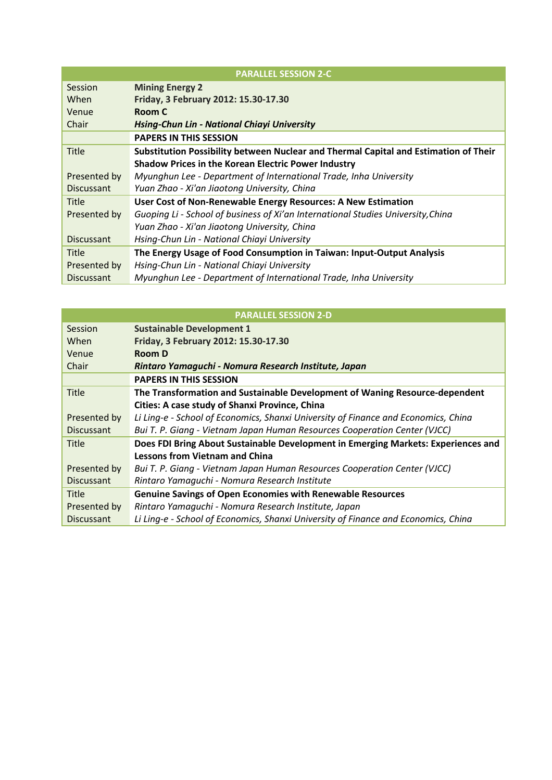| <b>PARALLEL SESSION 2-C</b> |                                                                                      |
|-----------------------------|--------------------------------------------------------------------------------------|
| Session                     | <b>Mining Energy 2</b>                                                               |
| When                        | Friday, 3 February 2012: 15.30-17.30                                                 |
| Venue                       | Room C                                                                               |
| Chair                       | Hsing-Chun Lin - National Chiayi University                                          |
|                             | <b>PAPERS IN THIS SESSION</b>                                                        |
| <b>Title</b>                | Substitution Possibility between Nuclear and Thermal Capital and Estimation of Their |
|                             | <b>Shadow Prices in the Korean Electric Power Industry</b>                           |
| Presented by                | Myunghun Lee - Department of International Trade, Inha University                    |
| <b>Discussant</b>           | Yuan Zhao - Xi'an Jiaotong University, China                                         |
| Title                       | User Cost of Non-Renewable Energy Resources: A New Estimation                        |
| Presented by                | Guoping Li - School of business of Xi'an International Studies University, China     |
|                             | Yuan Zhao - Xi'an Jiaotong University, China                                         |
| <b>Discussant</b>           | Hsing-Chun Lin - National Chiayi University                                          |
| Title                       | The Energy Usage of Food Consumption in Taiwan: Input-Output Analysis                |
| Presented by                | Hsing-Chun Lin - National Chiayi University                                          |
| <b>Discussant</b>           | Myunghun Lee - Department of International Trade, Inha University                    |

|                   | <b>PARALLEL SESSION 2-D</b>                                                        |  |
|-------------------|------------------------------------------------------------------------------------|--|
| Session           | <b>Sustainable Development 1</b>                                                   |  |
| When              | Friday, 3 February 2012: 15.30-17.30                                               |  |
| Venue             | Room D                                                                             |  |
| Chair             | Rintaro Yamaguchi - Nomura Research Institute, Japan                               |  |
|                   | <b>PAPERS IN THIS SESSION</b>                                                      |  |
| <b>Title</b>      | The Transformation and Sustainable Development of Waning Resource-dependent        |  |
|                   | Cities: A case study of Shanxi Province, China                                     |  |
| Presented by      | Li Ling-e - School of Economics, Shanxi University of Finance and Economics, China |  |
| <b>Discussant</b> | Bui T. P. Giang - Vietnam Japan Human Resources Cooperation Center (VJCC)          |  |
| Title             | Does FDI Bring About Sustainable Development in Emerging Markets: Experiences and  |  |
|                   | <b>Lessons from Vietnam and China</b>                                              |  |
| Presented by      | Bui T. P. Giang - Vietnam Japan Human Resources Cooperation Center (VJCC)          |  |
| <b>Discussant</b> | Rintaro Yamaguchi - Nomura Research Institute                                      |  |
| <b>Title</b>      | <b>Genuine Savings of Open Economies with Renewable Resources</b>                  |  |
| Presented by      | Rintaro Yamaguchi - Nomura Research Institute, Japan                               |  |
| <b>Discussant</b> | Li Ling-e - School of Economics, Shanxi University of Finance and Economics, China |  |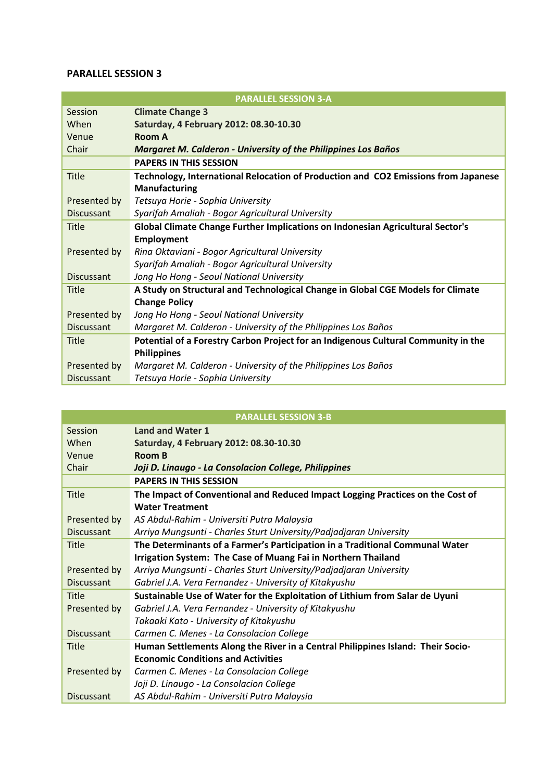|                   | <b>PARALLEL SESSION 3-A</b>                                                                                |
|-------------------|------------------------------------------------------------------------------------------------------------|
| Session           | <b>Climate Change 3</b>                                                                                    |
| When              | Saturday, 4 February 2012: 08.30-10.30                                                                     |
| Venue             | Room A                                                                                                     |
| Chair             | <b>Margaret M. Calderon - University of the Philippines Los Baños</b>                                      |
|                   | <b>PAPERS IN THIS SESSION</b>                                                                              |
| Title             | Technology, International Relocation of Production and CO2 Emissions from Japanese<br><b>Manufacturing</b> |
| Presented by      | Tetsuya Horie - Sophia University                                                                          |
| <b>Discussant</b> | Syarifah Amaliah - Bogor Agricultural University                                                           |
| Title             | Global Climate Change Further Implications on Indonesian Agricultural Sector's                             |
|                   | <b>Employment</b>                                                                                          |
| Presented by      | Rina Oktaviani - Bogor Agricultural University                                                             |
|                   | Syarifah Amaliah - Bogor Agricultural University                                                           |
| <b>Discussant</b> | Jong Ho Hong - Seoul National University                                                                   |
| Title             | A Study on Structural and Technological Change in Global CGE Models for Climate                            |
|                   | <b>Change Policy</b>                                                                                       |
| Presented by      | Jong Ho Hong - Seoul National University                                                                   |
| <b>Discussant</b> | Margaret M. Calderon - University of the Philippines Los Baños                                             |
| Title             | Potential of a Forestry Carbon Project for an Indigenous Cultural Community in the                         |
|                   | <b>Philippines</b>                                                                                         |
| Presented by      | Margaret M. Calderon - University of the Philippines Los Baños                                             |
| <b>Discussant</b> | Tetsuya Horie - Sophia University                                                                          |

| <b>PARALLEL SESSION 3-B</b> |                                                                                 |
|-----------------------------|---------------------------------------------------------------------------------|
| Session                     | <b>Land and Water 1</b>                                                         |
| When                        | Saturday, 4 February 2012: 08.30-10.30                                          |
| Venue                       | Room B                                                                          |
| Chair                       | Joji D. Linaugo - La Consolacion College, Philippines                           |
|                             | <b>PAPERS IN THIS SESSION</b>                                                   |
| <b>Title</b>                | The Impact of Conventional and Reduced Impact Logging Practices on the Cost of  |
|                             | <b>Water Treatment</b>                                                          |
| Presented by                | AS Abdul-Rahim - Universiti Putra Malaysia                                      |
| <b>Discussant</b>           | Arriya Mungsunti - Charles Sturt University/Padjadjaran University              |
| <b>Title</b>                | The Determinants of a Farmer's Participation in a Traditional Communal Water    |
|                             | Irrigation System: The Case of Muang Fai in Northern Thailand                   |
| Presented by                | Arriya Mungsunti - Charles Sturt University/Padjadjaran University              |
| <b>Discussant</b>           | Gabriel J.A. Vera Fernandez - University of Kitakyushu                          |
| <b>Title</b>                | Sustainable Use of Water for the Exploitation of Lithium from Salar de Uyuni    |
| Presented by                | Gabriel J.A. Vera Fernandez - University of Kitakyushu                          |
|                             | Takaaki Kato - University of Kitakyushu                                         |
| <b>Discussant</b>           | Carmen C. Menes - La Consolacion College                                        |
| <b>Title</b>                | Human Settlements Along the River in a Central Philippines Island: Their Socio- |
|                             | <b>Economic Conditions and Activities</b>                                       |
| Presented by                | Carmen C. Menes - La Consolacion College                                        |
|                             | Joji D. Linaugo - La Consolacion College                                        |
| <b>Discussant</b>           | AS Abdul-Rahim - Universiti Putra Malaysia                                      |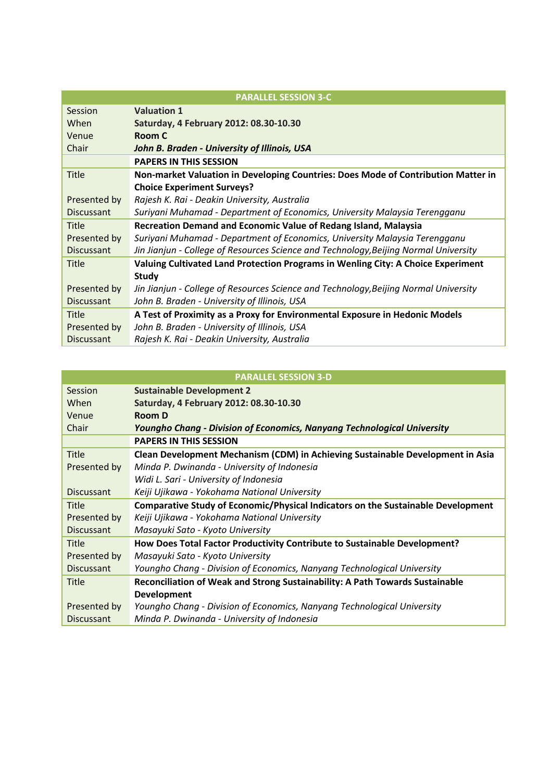|                   | <b>PARALLEL SESSION 3-C</b>                                                          |
|-------------------|--------------------------------------------------------------------------------------|
| Session           | <b>Valuation 1</b>                                                                   |
| When              | Saturday, 4 February 2012: 08.30-10.30                                               |
| Venue             | Room C                                                                               |
| Chair             | John B. Braden - University of Illinois, USA                                         |
|                   | <b>PAPERS IN THIS SESSION</b>                                                        |
| <b>Title</b>      | Non-market Valuation in Developing Countries: Does Mode of Contribution Matter in    |
|                   | <b>Choice Experiment Surveys?</b>                                                    |
| Presented by      | Rajesh K. Rai - Deakin University, Australia                                         |
| <b>Discussant</b> | Suriyani Muhamad - Department of Economics, University Malaysia Terengganu           |
| <b>Title</b>      | <b>Recreation Demand and Economic Value of Redang Island, Malaysia</b>               |
| Presented by      | Suriyani Muhamad - Department of Economics, University Malaysia Terengganu           |
| <b>Discussant</b> | Jin Jianjun - College of Resources Science and Technology, Beijing Normal University |
| <b>Title</b>      | Valuing Cultivated Land Protection Programs in Wenling City: A Choice Experiment     |
|                   | <b>Study</b>                                                                         |
|                   |                                                                                      |
| Presented by      | Jin Jianjun - College of Resources Science and Technology, Beijing Normal University |
| <b>Discussant</b> | John B. Braden - University of Illinois, USA                                         |
| <b>Title</b>      | A Test of Proximity as a Proxy for Environmental Exposure in Hedonic Models          |
| Presented by      | John B. Braden - University of Illinois, USA                                         |

|                   | <b>PARALLEL SESSION 3-D</b>                                                      |
|-------------------|----------------------------------------------------------------------------------|
| Session           | <b>Sustainable Development 2</b>                                                 |
| When              | Saturday, 4 February 2012: 08.30-10.30                                           |
| Venue             | <b>Room D</b>                                                                    |
| Chair             | <b>Youngho Chang - Division of Economics, Nanyang Technological University</b>   |
|                   | <b>PAPERS IN THIS SESSION</b>                                                    |
| Title             | Clean Development Mechanism (CDM) in Achieving Sustainable Development in Asia   |
| Presented by      | Minda P. Dwinanda - University of Indonesia                                      |
|                   | Widi L. Sari - University of Indonesia                                           |
| <b>Discussant</b> | Keiji Ujikawa - Yokohama National University                                     |
| <b>Title</b>      | Comparative Study of Economic/Physical Indicators on the Sustainable Development |
| Presented by      | Keiji Ujikawa - Yokohama National University                                     |
| <b>Discussant</b> | Masayuki Sato - Kyoto University                                                 |
| <b>Title</b>      | How Does Total Factor Productivity Contribute to Sustainable Development?        |
| Presented by      | Masayuki Sato - Kyoto University                                                 |
| <b>Discussant</b> | Youngho Chang - Division of Economics, Nanyang Technological University          |
| <b>Title</b>      | Reconciliation of Weak and Strong Sustainability: A Path Towards Sustainable     |
|                   | <b>Development</b>                                                               |
| Presented by      | Youngho Chang - Division of Economics, Nanyang Technological University          |
| <b>Discussant</b> | Minda P. Dwinanda - University of Indonesia                                      |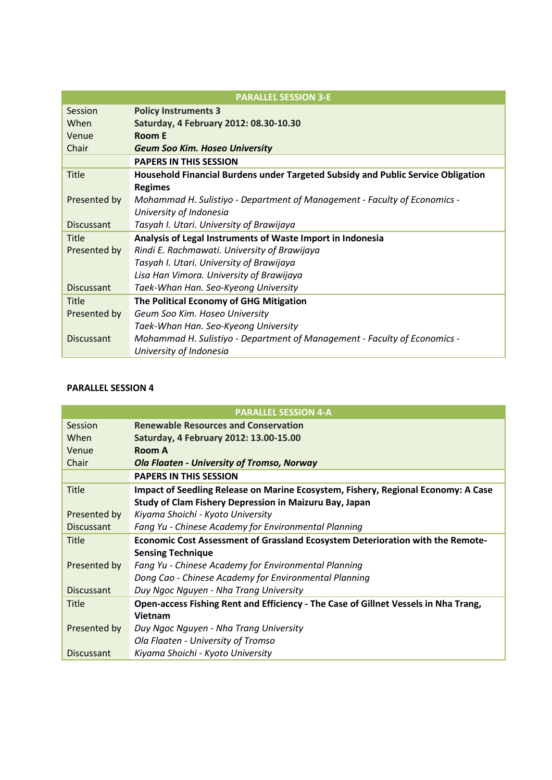|                   | <b>PARALLEL SESSION 3-E</b>                                                      |
|-------------------|----------------------------------------------------------------------------------|
| Session           | <b>Policy Instruments 3</b>                                                      |
| When              | Saturday, 4 February 2012: 08.30-10.30                                           |
| Venue             | <b>Room E</b>                                                                    |
| Chair             | <b>Geum Soo Kim. Hoseo University</b>                                            |
|                   | <b>PAPERS IN THIS SESSION</b>                                                    |
| <b>Title</b>      | Household Financial Burdens under Targeted Subsidy and Public Service Obligation |
|                   | <b>Regimes</b>                                                                   |
| Presented by      | Mohammad H. Sulistiyo - Department of Management - Faculty of Economics -        |
|                   | University of Indonesia                                                          |
| <b>Discussant</b> | Tasyah I. Utari. University of Brawijaya                                         |
| <b>Title</b>      | Analysis of Legal Instruments of Waste Import in Indonesia                       |
| Presented by      | Rindi E. Rachmawati. University of Brawijaya                                     |
|                   | Tasyah I. Utari. University of Brawijaya                                         |
|                   | Lisa Han Vimora. University of Brawijaya                                         |
| <b>Discussant</b> | Taek-Whan Han. Seo-Kyeong University                                             |
| Title             | The Political Economy of GHG Mitigation                                          |
| Presented by      | Geum Soo Kim. Hoseo University                                                   |
|                   | Taek-Whan Han. Seo-Kyeong University                                             |
| <b>Discussant</b> | Mohammad H. Sulistiyo - Department of Management - Faculty of Economics -        |
|                   | University of Indonesia                                                          |

|                   | <b>PARALLEL SESSION 4-A</b>                                                         |
|-------------------|-------------------------------------------------------------------------------------|
| Session           | <b>Renewable Resources and Conservation</b>                                         |
| When              | Saturday, 4 February 2012: 13.00-15.00                                              |
| Venue             | Room A                                                                              |
| Chair             | <b>Ola Flaaten - University of Tromso, Norway</b>                                   |
|                   | <b>PAPERS IN THIS SESSION</b>                                                       |
| <b>Title</b>      | Impact of Seedling Release on Marine Ecosystem, Fishery, Regional Economy: A Case   |
|                   | Study of Clam Fishery Depression in Maizuru Bay, Japan                              |
| Presented by      | Kiyama Shoichi - Kyoto University                                                   |
| <b>Discussant</b> | Fang Yu - Chinese Academy for Environmental Planning                                |
| <b>Title</b>      | Economic Cost Assessment of Grassland Ecosystem Deterioration with the Remote-      |
|                   | <b>Sensing Technique</b>                                                            |
| Presented by      | Fang Yu - Chinese Academy for Environmental Planning                                |
|                   | Dong Cao - Chinese Academy for Environmental Planning                               |
| <b>Discussant</b> | Duy Ngoc Nguyen - Nha Trang University                                              |
| <b>Title</b>      | Open-access Fishing Rent and Efficiency - The Case of Gillnet Vessels in Nha Trang, |
|                   | Vietnam                                                                             |
| Presented by      | Duy Ngoc Nguyen - Nha Trang University                                              |
|                   | Ola Flaaten - University of Tromso                                                  |
| <b>Discussant</b> | Kiyama Shoichi - Kyoto University                                                   |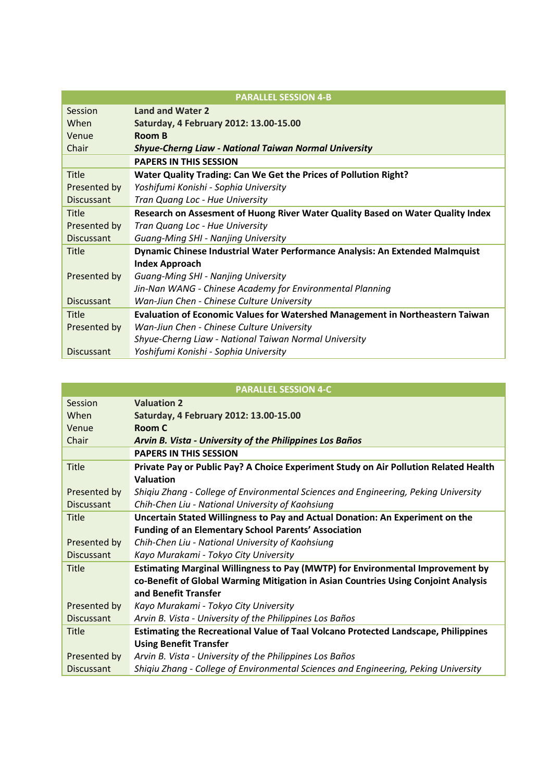|                   | <b>PARALLEL SESSION 4-B</b>                                                     |
|-------------------|---------------------------------------------------------------------------------|
| Session           | <b>Land and Water 2</b>                                                         |
| When              | Saturday, 4 February 2012: 13.00-15.00                                          |
| Venue             | <b>Room B</b>                                                                   |
| Chair             | <b>Shyue-Cherng Liaw - National Taiwan Normal University</b>                    |
|                   | <b>PAPERS IN THIS SESSION</b>                                                   |
| <b>Title</b>      | Water Quality Trading: Can We Get the Prices of Pollution Right?                |
| Presented by      | Yoshifumi Konishi - Sophia University                                           |
| <b>Discussant</b> | Tran Quang Loc - Hue University                                                 |
| <b>Title</b>      | Research on Assesment of Huong River Water Quality Based on Water Quality Index |
| Presented by      | Tran Quang Loc - Hue University                                                 |
| <b>Discussant</b> | Guang-Ming SHI - Nanjing University                                             |
| <b>Title</b>      | Dynamic Chinese Industrial Water Performance Analysis: An Extended Malmquist    |
|                   | <b>Index Approach</b>                                                           |
| Presented by      | <b>Guang-Ming SHI - Nanjing University</b>                                      |
|                   | Jin-Nan WANG - Chinese Academy for Environmental Planning                       |
| <b>Discussant</b> | Wan-Jiun Chen - Chinese Culture University                                      |
| <b>Title</b>      | Evaluation of Economic Values for Watershed Management in Northeastern Taiwan   |
| Presented by      | Wan-Jiun Chen - Chinese Culture University                                      |
|                   | Shyue-Cherng Liaw - National Taiwan Normal University                           |
| <b>Discussant</b> | Yoshifumi Konishi - Sophia University                                           |

|                   | <b>PARALLEL SESSION 4-C</b>                                                               |
|-------------------|-------------------------------------------------------------------------------------------|
| Session           | <b>Valuation 2</b>                                                                        |
| When              | Saturday, 4 February 2012: 13.00-15.00                                                    |
| Venue             | Room C                                                                                    |
| Chair             | Arvin B. Vista - University of the Philippines Los Baños                                  |
|                   | <b>PAPERS IN THIS SESSION</b>                                                             |
| <b>Title</b>      | Private Pay or Public Pay? A Choice Experiment Study on Air Pollution Related Health      |
|                   | Valuation                                                                                 |
| Presented by      | Shiqiu Zhang - College of Environmental Sciences and Engineering, Peking University       |
| <b>Discussant</b> | Chih-Chen Liu - National University of Kaohsiung                                          |
| <b>Title</b>      | Uncertain Stated Willingness to Pay and Actual Donation: An Experiment on the             |
|                   | <b>Funding of an Elementary School Parents' Association</b>                               |
| Presented by      | Chih-Chen Liu - National University of Kaohsiung                                          |
| <b>Discussant</b> | Kayo Murakami - Tokyo City University                                                     |
| <b>Title</b>      | Estimating Marginal Willingness to Pay (MWTP) for Environmental Improvement by            |
|                   | co-Benefit of Global Warming Mitigation in Asian Countries Using Conjoint Analysis        |
|                   | and Benefit Transfer                                                                      |
| Presented by      | Kayo Murakami - Tokyo City University                                                     |
| <b>Discussant</b> | Arvin B. Vista - University of the Philippines Los Baños                                  |
| <b>Title</b>      | <b>Estimating the Recreational Value of Taal Volcano Protected Landscape, Philippines</b> |
|                   | <b>Using Benefit Transfer</b>                                                             |
| Presented by      | Arvin B. Vista - University of the Philippines Los Baños                                  |
| <b>Discussant</b> | Shigiu Zhang - College of Environmental Sciences and Engineering, Peking University       |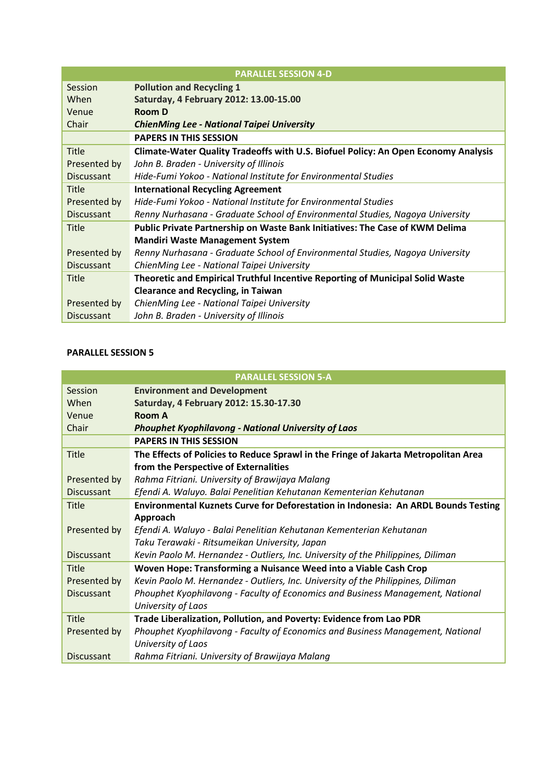|                   | <b>PARALLEL SESSION 4-D</b>                                                        |
|-------------------|------------------------------------------------------------------------------------|
| Session           | <b>Pollution and Recycling 1</b>                                                   |
| When              | Saturday, 4 February 2012: 13.00-15.00                                             |
| Venue             | <b>Room D</b>                                                                      |
| Chair             | <b>ChienMing Lee - National Taipei University</b>                                  |
|                   | <b>PAPERS IN THIS SESSION</b>                                                      |
| Title             | Climate-Water Quality Tradeoffs with U.S. Biofuel Policy: An Open Economy Analysis |
| Presented by      | John B. Braden - University of Illinois                                            |
| <b>Discussant</b> | Hide-Fumi Yokoo - National Institute for Environmental Studies                     |
| <b>Title</b>      | <b>International Recycling Agreement</b>                                           |
| Presented by      | Hide-Fumi Yokoo - National Institute for Environmental Studies                     |
| <b>Discussant</b> | Renny Nurhasana - Graduate School of Environmental Studies, Nagoya University      |
| <b>Title</b>      | Public Private Partnership on Waste Bank Initiatives: The Case of KWM Delima       |
|                   | <b>Mandiri Waste Management System</b>                                             |
| Presented by      | Renny Nurhasana - Graduate School of Environmental Studies, Nagoya University      |
| <b>Discussant</b> | ChienMing Lee - National Taipei University                                         |
| <b>Title</b>      | Theoretic and Empirical Truthful Incentive Reporting of Municipal Solid Waste      |
|                   | <b>Clearance and Recycling, in Taiwan</b>                                          |
| Presented by      | ChienMing Lee - National Taipei University                                         |
| <b>Discussant</b> | John B. Braden - University of Illinois                                            |

|                   | <b>PARALLEL SESSION 5-A</b>                                                         |
|-------------------|-------------------------------------------------------------------------------------|
| Session           | <b>Environment and Development</b>                                                  |
| When              | Saturday, 4 February 2012: 15.30-17.30                                              |
| Venue             | Room A                                                                              |
| Chair             | <b>Phouphet Kyophilavong - National University of Laos</b>                          |
|                   | <b>PAPERS IN THIS SESSION</b>                                                       |
| <b>Title</b>      | The Effects of Policies to Reduce Sprawl in the Fringe of Jakarta Metropolitan Area |
|                   | from the Perspective of Externalities                                               |
| Presented by      | Rahma Fitriani. University of Brawijaya Malang                                      |
| <b>Discussant</b> | Efendi A. Waluyo. Balai Penelitian Kehutanan Kementerian Kehutanan                  |
| <b>Title</b>      | Environmental Kuznets Curve for Deforestation in Indonesia: An ARDL Bounds Testing  |
|                   | Approach                                                                            |
| Presented by      | Efendi A. Waluyo - Balai Penelitian Kehutanan Kementerian Kehutanan                 |
|                   | Taku Terawaki - Ritsumeikan University, Japan                                       |
| <b>Discussant</b> | Kevin Paolo M. Hernandez - Outliers, Inc. University of the Philippines, Diliman    |
| <b>Title</b>      | Woven Hope: Transforming a Nuisance Weed into a Viable Cash Crop                    |
| Presented by      | Kevin Paolo M. Hernandez - Outliers, Inc. University of the Philippines, Diliman    |
| <b>Discussant</b> | Phouphet Kyophilavong - Faculty of Economics and Business Management, National      |
|                   | University of Laos                                                                  |
| <b>Title</b>      | Trade Liberalization, Pollution, and Poverty: Evidence from Lao PDR                 |
| Presented by      | Phouphet Kyophilavong - Faculty of Economics and Business Management, National      |
|                   | University of Laos                                                                  |
| <b>Discussant</b> | Rahma Fitriani. University of Brawijaya Malang                                      |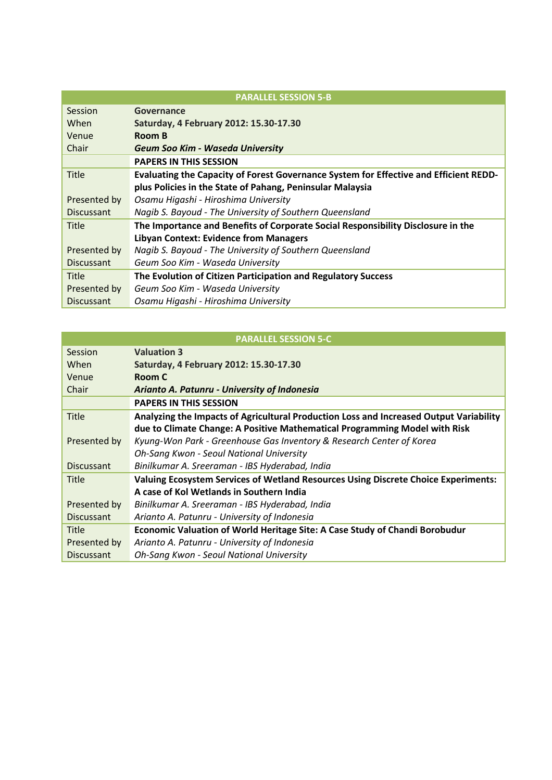|                   | <b>PARALLEL SESSION 5-B</b>                                                           |
|-------------------|---------------------------------------------------------------------------------------|
| Session           | Governance                                                                            |
| When              | Saturday, 4 February 2012: 15.30-17.30                                                |
| Venue             | Room B                                                                                |
| Chair             | Geum Soo Kim - Waseda University                                                      |
|                   | <b>PAPERS IN THIS SESSION</b>                                                         |
| <b>Title</b>      | Evaluating the Capacity of Forest Governance System for Effective and Efficient REDD- |
|                   | plus Policies in the State of Pahang, Peninsular Malaysia                             |
| Presented by      | Osamu Higashi - Hiroshima University                                                  |
| <b>Discussant</b> | Nagib S. Bayoud - The University of Southern Queensland                               |
| <b>Title</b>      | The Importance and Benefits of Corporate Social Responsibility Disclosure in the      |
|                   | <b>Libyan Context: Evidence from Managers</b>                                         |
| Presented by      | Nagib S. Bayoud - The University of Southern Queensland                               |
| <b>Discussant</b> | Geum Soo Kim - Waseda University                                                      |
| <b>Title</b>      | The Evolution of Citizen Participation and Regulatory Success                         |
| Presented by      | Geum Soo Kim - Waseda University                                                      |
| <b>Discussant</b> | Osamu Higashi - Hiroshima University                                                  |

|                   | <b>PARALLEL SESSION 5-C</b>                                                               |
|-------------------|-------------------------------------------------------------------------------------------|
| Session           | <b>Valuation 3</b>                                                                        |
| When              | Saturday, 4 February 2012: 15.30-17.30                                                    |
| Venue             | Room C                                                                                    |
| Chair             | Arianto A. Patunru - University of Indonesia                                              |
|                   | <b>PAPERS IN THIS SESSION</b>                                                             |
| <b>Title</b>      | Analyzing the Impacts of Agricultural Production Loss and Increased Output Variability    |
|                   | due to Climate Change: A Positive Mathematical Programming Model with Risk                |
| Presented by      | Kyung-Won Park - Greenhouse Gas Inventory & Research Center of Korea                      |
|                   | Oh-Sang Kwon - Seoul National University                                                  |
| <b>Discussant</b> | Binilkumar A. Sreeraman - IBS Hyderabad, India                                            |
| Title             | <b>Valuing Ecosystem Services of Wetland Resources Using Discrete Choice Experiments:</b> |
|                   | A case of Kol Wetlands in Southern India                                                  |
| Presented by      | Binilkumar A. Sreeraman - IBS Hyderabad, India                                            |
| <b>Discussant</b> | Arianto A. Patunru - University of Indonesia                                              |
| Title             | Economic Valuation of World Heritage Site: A Case Study of Chandi Borobudur               |
| Presented by      | Arianto A. Patunru - University of Indonesia                                              |
| <b>Discussant</b> | Oh-Sang Kwon - Seoul National University                                                  |